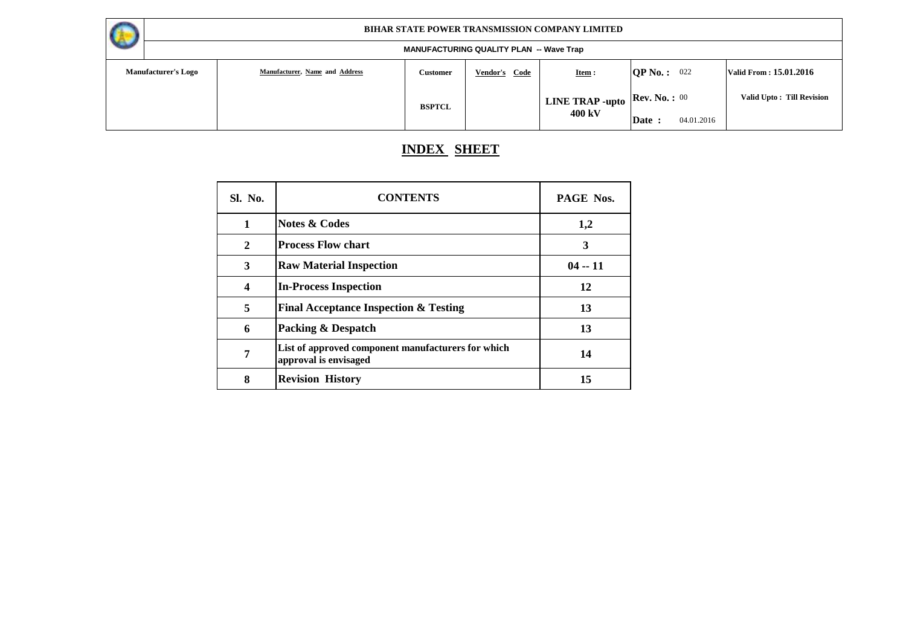

#### **MANUFACTURING QUALITY PLAN -- Wave Trap**

|                            |                                |               | 10.701017010111008071111117111 | TTUTU TIUP                           |                    |                                  |
|----------------------------|--------------------------------|---------------|--------------------------------|--------------------------------------|--------------------|----------------------------------|
| <b>Manufacturer's Logo</b> | Manufacturer, Name and Address | Customer      | Vendor's Code                  | Item:                                | QP No.: 022        | Valid From: 15.01.2016           |
|                            |                                | <b>BSPTCL</b> |                                | $\mid$ LINE TRAP -upto Rev. No. : 00 |                    | <b>Valid Upto: Till Revision</b> |
|                            |                                |               |                                | 400 kV                               | 04.01.2016<br>Date |                                  |

# **INDEX SHEET**

| Sl. No. | <b>CONTENTS</b>                                                             | <b>PAGE Nos.</b> |
|---------|-----------------------------------------------------------------------------|------------------|
| 1       | <b>Notes &amp; Codes</b>                                                    | 1,2              |
| 2       | <b>Process Flow chart</b>                                                   | 3                |
| 3       | <b>Raw Material Inspection</b>                                              | $04 - 11$        |
| 4       | <b>In-Process Inspection</b>                                                | 12               |
| 5       | <b>Final Acceptance Inspection &amp; Testing</b>                            | 13               |
| 6       | <b>Packing &amp; Despatch</b>                                               | 13               |
| 7       | List of approved component manufacturers for which<br>approval is envisaged | 14               |
| 8       | <b>Revision History</b>                                                     | 15               |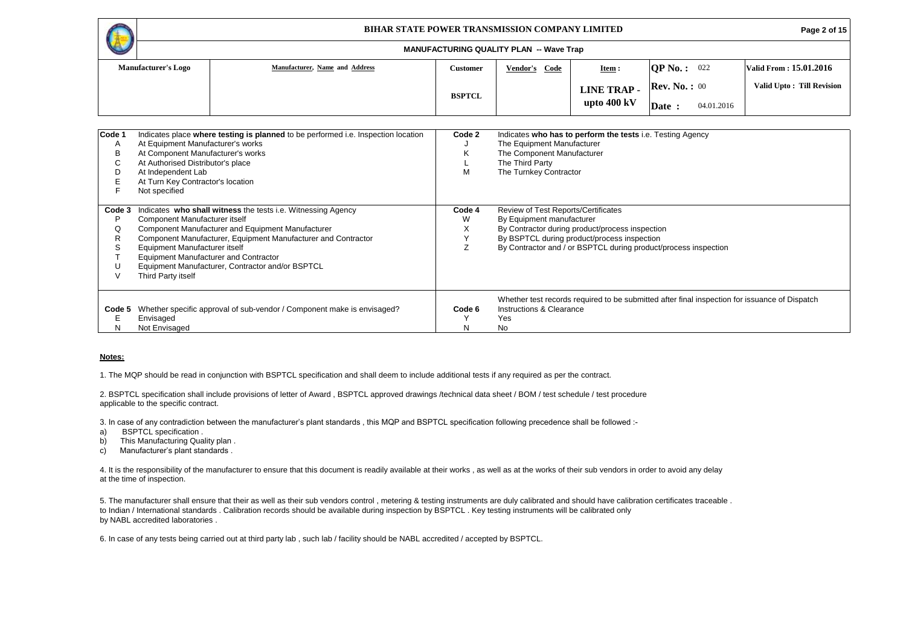|        |                                   | <b>BIHAR STATE POWER TRANSMISSION COMPANY LIMITED</b>                             |                 | Page 2 of 15                                   |                                                            |                       |            |                           |
|--------|-----------------------------------|-----------------------------------------------------------------------------------|-----------------|------------------------------------------------|------------------------------------------------------------|-----------------------|------------|---------------------------|
|        |                                   |                                                                                   |                 | <b>MANUFACTURING QUALITY PLAN -- Wave Trap</b> |                                                            |                       |            |                           |
|        | <b>Manufacturer's Logo</b>        | Manufacturer, Name and Address                                                    | <b>Customer</b> | Vendor's Code                                  | Item:                                                      | <b>OP No. :</b> 022   |            | Valid From: 15.01.2016    |
|        |                                   |                                                                                   |                 |                                                | <b>LINE TRAP-</b>                                          | <b>Rev. No.:</b> $00$ |            | Valid Upto: Till Revision |
|        |                                   |                                                                                   | <b>BSPTCL</b>   |                                                | upto $400 \text{ kV}$                                      | Date:                 | 04.01.2016 |                           |
|        |                                   |                                                                                   |                 |                                                |                                                            |                       |            |                           |
| Code 1 |                                   | Indicates place where testing is planned to be performed i.e. Inspection location | Code 2          |                                                | Indicates who has to perform the tests i.e. Testing Agency |                       |            |                           |
| A      | At Equipment Manufacturer's works |                                                                                   |                 | The Equipment Manufacturer                     |                                                            |                       |            |                           |
| в      | At Component Manufacturer's works |                                                                                   | ĸ               | The Component Manufacturer                     |                                                            |                       |            |                           |
| C      | At Authorised Distributor's place |                                                                                   |                 | The Third Party                                |                                                            |                       |            |                           |
| D      | At Independent Lab                |                                                                                   | м               | The Turnkey Contractor                         |                                                            |                       |            |                           |
| Е      | At Turn Key Contractor's location |                                                                                   |                 |                                                |                                                            |                       |            |                           |
|        | Not specified                     |                                                                                   |                 |                                                |                                                            |                       |            |                           |

|             | Not specified                                                                                                                                                                                                                                                                                                                                                                  |                  |                                                                                                                                                                                                                                       |
|-------------|--------------------------------------------------------------------------------------------------------------------------------------------------------------------------------------------------------------------------------------------------------------------------------------------------------------------------------------------------------------------------------|------------------|---------------------------------------------------------------------------------------------------------------------------------------------------------------------------------------------------------------------------------------|
| Code 3<br>Ō | Indicates who shall witness the tests i.e. Witnessing Agency<br>Component Manufacturer itself<br>Component Manufacturer and Equipment Manufacturer<br>Component Manufacturer, Equipment Manufacturer and Contractor<br>Equipment Manufacturer itself<br><b>Equipment Manufacturer and Contractor</b><br>Equipment Manufacturer, Contractor and/or BSPTCL<br>Third Party itself | Code 4<br>W<br>⌒ | Review of Test Reports/Certificates<br>By Equipment manufacturer<br>By Contractor during product/process inspection<br>By BSPTCL during product/process inspection<br>By Contractor and / or BSPTCL during product/process inspection |
| N           | Code 5 Whether specific approval of sub-vendor / Component make is envisaged?<br>Envisaged<br>Not Envisaged                                                                                                                                                                                                                                                                    | Code 6<br>N      | Whether test records required to be submitted after final inspection for issuance of Dispatch<br>Instructions & Clearance<br>Yes<br>No                                                                                                |

#### **Notes:**

1. The MQP should be read in conjunction with BSPTCL specification and shall deem to include additional tests if any required as per the contract.

2. BSPTCL specification shall include provisions of letter of Award , BSPTCL approved drawings /technical data sheet / BOM / test schedule / test procedure applicable to the specific contract.

3. In case of any contradiction between the manufacturer's plant standards , this MQP and BSPTCL specification following precedence shall be followed :-

- a) BSPTCL specification .
- b) This Manufacturing Quality plan.
- c) Manufacturer's plant standards .

4. It is the responsibility of the manufacturer to ensure that this document is readily available at their works, as well as at the works of their sub vendors in order to avoid any delay at the time of inspection.

5. The manufacturer shall ensure that their as well as their sub vendors control , metering & testing instruments are duly calibrated and should have calibration certificates traceable . to Indian / International standards . Calibration records should be available during inspection by BSPTCL . Key testing instruments will be calibrated only by NABL accredited laboratories .

6. In case of any tests being carried out at third party lab , such lab / facility should be NABL accredited / accepted by BSPTCL.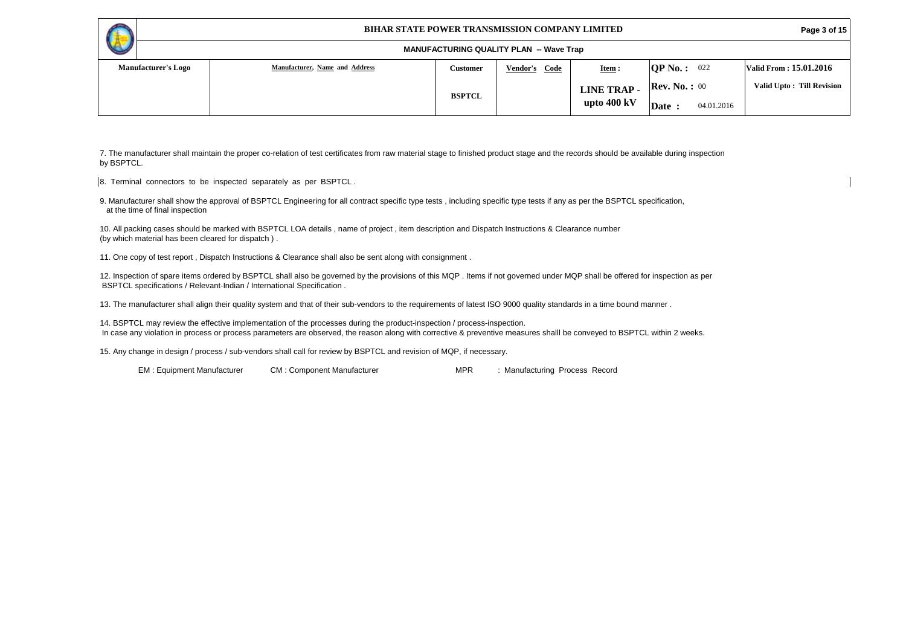#### **Page 3 of 15**

| V                          |                                |               | <b>MANUFACTURING QUALITY PLAN -- Wave Trap</b> |                       |                       |            |                            |
|----------------------------|--------------------------------|---------------|------------------------------------------------|-----------------------|-----------------------|------------|----------------------------|
| <b>Manufacturer's Logo</b> | Manufacturer, Name and Address | Customer      | <b>Vendor's</b><br>Code                        | Item:                 | $OP$ No. :            | 022        | Valid From : 15.01.2016    |
|                            |                                | <b>BSPTCL</b> |                                                | <b>LINE TRAP-</b>     | <b>Rev. No.:</b> $00$ |            | Valid Upto : Till Revision |
|                            |                                |               |                                                | upto $400 \text{ kV}$ | Date                  | 04.01.2016 |                            |

7. The manufacturer shall maintain the proper co-relation of test certificates from raw material stage to finished product stage and the records should be available during inspection by BSPTCL.

8. Terminal connectors to be inspected separately as per BSPTCL .

9. Manufacturer shall show the approval of BSPTCL Engineering for all contract specific type tests , including specific type tests if any as per the BSPTCL specification, at the time of final inspection

10. All packing cases should be marked with BSPTCL LOA details , name of project , item description and Dispatch Instructions & Clearance number (by which material has been cleared for dispatch ) .

11. One copy of test report , Dispatch Instructions & Clearance shall also be sent along with consignment .

12. Inspection of spare items ordered by BSPTCL shall also be governed by the provisions of this MQP . Items if not governed under MQP shall be offered for inspection as per BSPTCL specifications / Relevant-Indian / International Specification .

13. The manufacturer shall align their quality system and that of their sub-vendors to the requirements of latest ISO 9000 quality standards in a time bound manner .

14. BSPTCL may review the effective implementation of the processes during the product-inspection / process-inspection. In case any violation in process or process parameters are observed, the reason along with corrective & preventive measures shalll be conveyed to BSPTCL within 2 weeks.

15. Any change in design / process / sub-vendors shall call for review by BSPTCL and revision of MQP, if necessary.

EM: Equipment Manufacturer CM: Component Manufacturer MPR : Manufacturing Process Record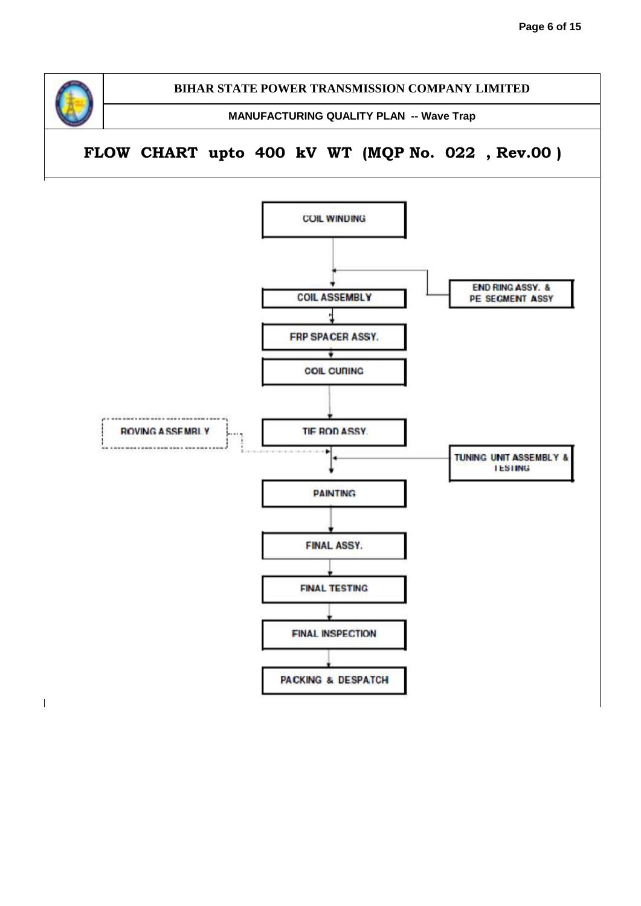

 $\overline{\phantom{a}}$ 

**BIHAR STATE POWER TRANSMISSION COMPANY LIMITED**

**MANUFACTURING QUALITY PLAN -- Wave Trap**

**FLOW CHART upto 400 kV WT (MQP No. 022 , Rev.00 )**

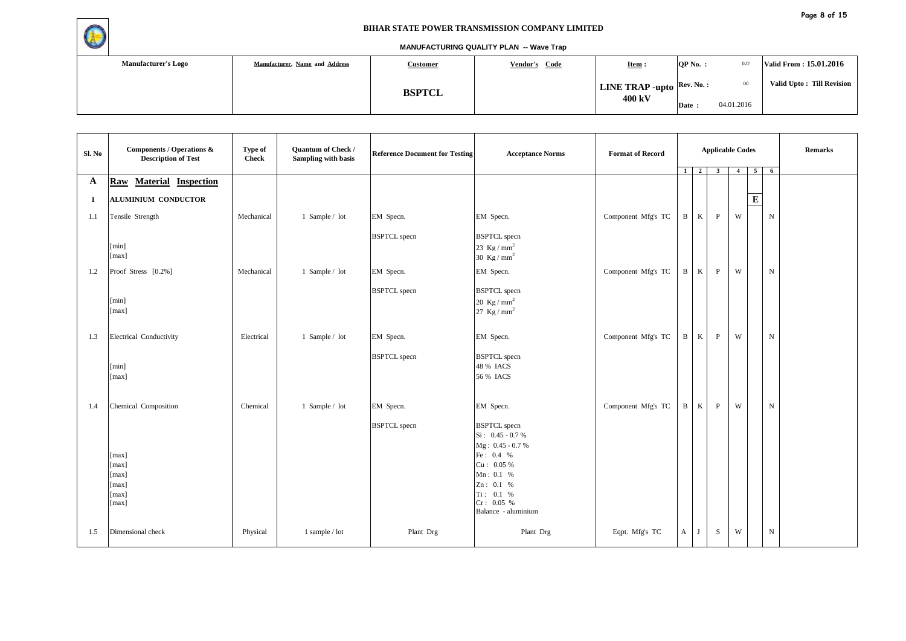

| <b>Manufacturer's Logo</b> | Manufacturer, Name and Address<br><b>Customer</b><br>Vendor's Code |               | $Item :$                                                | QP No. : | 022        | Valid From: 15.01.2016    |  |
|----------------------------|--------------------------------------------------------------------|---------------|---------------------------------------------------------|----------|------------|---------------------------|--|
|                            |                                                                    | <b>BSPTCL</b> | <b>LINE TRAP -upto</b> $\left \text{Rev. No. :}\right $ |          | $00\,$     | Valid Upto: Till Revision |  |
|                            |                                                                    |               | 400 kV                                                  | Date:    | 04.01.2016 |                           |  |

| Sl. No       | Components / Operations &<br><b>Description of Test</b> | Type of<br><b>Check</b> | Quantum of Check /<br>Sampling with basis | <b>Reference Document for Testing</b> | <b>Acceptance Norms</b>                                                                                                                                               | <b>Format of Record</b> | 1 <sup>1</sup>  | $\overline{2}$ | <b>Applicable Codes</b><br>$\mathbf{3}$ | $\overline{4}$ | $\overline{5}$          | 6           | <b>Remarks</b> |
|--------------|---------------------------------------------------------|-------------------------|-------------------------------------------|---------------------------------------|-----------------------------------------------------------------------------------------------------------------------------------------------------------------------|-------------------------|-----------------|----------------|-----------------------------------------|----------------|-------------------------|-------------|----------------|
| $\mathbf{A}$ | <b>Material Inspection</b><br>Raw                       |                         |                                           |                                       |                                                                                                                                                                       |                         |                 |                |                                         |                |                         |             |                |
| -1           | ALUMINIUM CONDUCTOR                                     |                         |                                           |                                       |                                                                                                                                                                       |                         |                 |                |                                         |                | $\overline{\mathbf{E}}$ |             |                |
| 1.1          | Tensile Strength                                        | Mechanical              | 1 Sample / lot                            | EM Specn.                             | EM Specn.                                                                                                                                                             | Component Mfg's TC      | $\, {\bf B} \,$ | K              | $\, {\bf p}$                            | W              |                         | $\mathbf N$ |                |
|              | [min]<br>[max]                                          |                         |                                           | <b>BSPTCL</b> specn                   | <b>BSPTCL</b> specn<br>23 $Kg/mm^2$<br>30 Kg / $mm2$                                                                                                                  |                         |                 |                |                                         |                |                         |             |                |
| 1.2          | Proof Stress [0.2%]                                     | Mechanical              | 1 Sample / lot                            | EM Specn.                             | EM Specn.                                                                                                                                                             | Component Mfg's TC      | $\mathbf{B}$    | K              | P                                       | W              |                         | $\mathbf N$ |                |
|              | [min]<br>[max]                                          |                         |                                           | <b>BSPTCL</b> specn                   | <b>BSPTCL</b> specn<br>20 Kg / $mm2$<br>27 Kg / $mm2$                                                                                                                 |                         |                 |                |                                         |                |                         |             |                |
| 1.3          | Electrical Conductivity                                 | Electrical              | 1 Sample / lot                            | EM Specn.                             | EM Specn.                                                                                                                                                             | Component Mfg's TC      | $\mathbf{B}$    | K              | $\mathbf{P}$                            | W              |                         | ${\bf N}$   |                |
|              | [min]<br>[max]                                          |                         |                                           | <b>BSPTCL</b> specn                   | <b>BSPTCL</b> specn<br>48 % IACS<br>56 % IACS                                                                                                                         |                         |                 |                |                                         |                |                         |             |                |
| 1.4          | Chemical Composition                                    | Chemical                | 1 Sample / lot                            | EM Specn.                             | EM Specn.                                                                                                                                                             | Component Mfg's TC      | $\mathbf{B}$    | K              | P                                       | W              |                         | $\mathbf N$ |                |
|              | [max]<br>[max]<br>[max]<br>[max]<br>[max]<br>[max]      |                         |                                           | <b>BSPTCL</b> specn                   | <b>BSPTCL</b> specn<br>$Si: 0.45 - 0.7 %$<br>Mg: 0.45 - 0.7 %<br>Fe: $0.4\%$<br>Cu: 0.05%<br>Mn: 0.1 %<br>Zn: 0.1 %<br>Ti: 0.1 %<br>Cr: 0.05 %<br>Balance - aluminium |                         |                 |                |                                         |                |                         |             |                |
| 1.5          | Dimensional check                                       | Physical                | 1 sample / lot                            | Plant Drg                             | Plant Drg                                                                                                                                                             | Eqpt. Mfg's TC          | A               | J              | S                                       | W              |                         | ${\bf N}$   |                |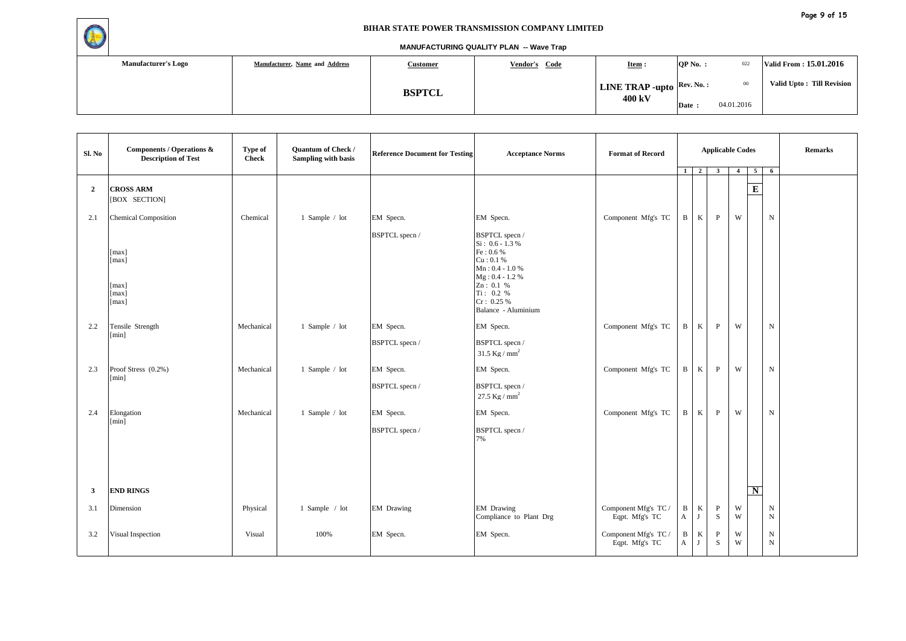

| <b>Manufacturer's Logo</b> | Manufacturer, Name and Address | <u>Customer</u> | Vendor's Code | $Item :$                                                | $OP No.$ : | 022        | Valid From: 15.01.2016     |
|----------------------------|--------------------------------|-----------------|---------------|---------------------------------------------------------|------------|------------|----------------------------|
|                            |                                | <b>BSPTCL</b>   |               | <b>LINE TRAP -upto</b> $\left \text{Rev. No. :}\right $ |            | $_{00}$    | Valid Upto : Till Revision |
|                            |                                |                 |               | 400 kV                                                  | Date:      | 04.01.2016 |                            |

| Sl. No         | Components / Operations &<br><b>Description of Test</b> | Type of<br><b>Check</b> | Quantum of Check /<br>Sampling with basis | <b>Reference Document for Testing</b> | <b>Acceptance Norms</b>                                                                                                                                              | <b>Format of Record</b>                |                      | $1 \mid 2 \mid$ | <b>Applicable Codes</b><br>$\overline{\mathbf{3}}$ | $\overline{4}$ | 5 <sub>1</sub> | -6                     | <b>Remarks</b> |
|----------------|---------------------------------------------------------|-------------------------|-------------------------------------------|---------------------------------------|----------------------------------------------------------------------------------------------------------------------------------------------------------------------|----------------------------------------|----------------------|-----------------|----------------------------------------------------|----------------|----------------|------------------------|----------------|
| $\overline{2}$ | <b>CROSS ARM</b><br>[BOX SECTION]                       |                         |                                           |                                       |                                                                                                                                                                      |                                        |                      |                 |                                                    |                | $\overline{E}$ |                        |                |
| 2.1            | <b>Chemical Composition</b>                             | Chemical                | 1 Sample / lot                            | EM Specn.                             | EM Specn.                                                                                                                                                            | Component Mfg's TC                     | $\mathbf{B}$         | K               | P                                                  | W              |                | $\mathbf N$            |                |
|                | [max]<br>[max]<br>[max]<br>[max]<br>[max]               |                         |                                           | BSPTCL specn /                        | BSPTCL specn /<br>$Si: 0.6 - 1.3 %$<br>Fe: 0.6 %<br>Cu: 0.1%<br>$Mn: 0.4 - 1.0 %$<br>$Mg: 0.4 - 1.2 %$<br>Zn: 0.1 %<br>Ti: 0.2 %<br>Cr: 0.25%<br>Balance - Aluminium |                                        |                      |                 |                                                    |                |                |                        |                |
| 2.2            | Tensile Strength<br>[min]                               | Mechanical              | 1 Sample / lot                            | EM Specn.                             | EM Specn.                                                                                                                                                            | Component Mfg's TC                     | $\mathbf{B}$         | K               | P                                                  | W              |                | $\mathbf N$            |                |
|                |                                                         |                         |                                           | BSPTCL specn /                        | BSPTCL specn /<br>31.5 Kg / $mm2$                                                                                                                                    |                                        |                      |                 |                                                    |                |                |                        |                |
| 2.3            | Proof Stress (0.2%)<br>[min]                            | Mechanical              | 1 Sample / lot                            | EM Specn.                             | EM Specn.                                                                                                                                                            | Component Mfg's TC                     | $\, {\bf B} \,$      | K               | $\, {\bf p}$                                       | W              |                | ${\bf N}$              |                |
|                |                                                         |                         |                                           | BSPTCL specn /                        | BSPTCL specn /<br>27.5 Kg / $mm2$                                                                                                                                    |                                        |                      |                 |                                                    |                |                |                        |                |
| 2.4            | Elongation<br>[min]                                     | Mechanical              | 1 Sample / lot                            | EM Specn.                             | EM Specn.                                                                                                                                                            | Component Mfg's TC                     | B                    | K               | $\mathbf{P}$                                       | W              |                | $\mathbf N$            |                |
|                |                                                         |                         |                                           | BSPTCL specn /                        | BSPTCL specn /<br>7%                                                                                                                                                 |                                        |                      |                 |                                                    |                |                |                        |                |
| $\mathbf{3}$   | <b>END RINGS</b>                                        |                         |                                           |                                       |                                                                                                                                                                      |                                        |                      |                 |                                                    |                | N              |                        |                |
| 3.1            | Dimension                                               | Physical                | 1 Sample / lot                            | <b>EM</b> Drawing                     | EM Drawing<br>Compliance to Plant Drg                                                                                                                                | Component Mfg's TC /<br>Eqpt. Mfg's TC | $\, {\bf B} \,$<br>A | $\rm K$<br>J    | $\mathbf{P}$<br>S                                  | W<br>W         |                | $\mathbf N$<br>$\,$ N  |                |
| 3.2            | Visual Inspection                                       | Visual                  | 100%                                      | EM Specn.                             | EM Specn.                                                                                                                                                            | Component Mfg's TC /<br>Eqpt. Mfg's TC | $\mathbf{B}$<br>A    | K<br>J          | P<br>S                                             | W<br>W         |                | ${\bf N}$<br>${\bf N}$ |                |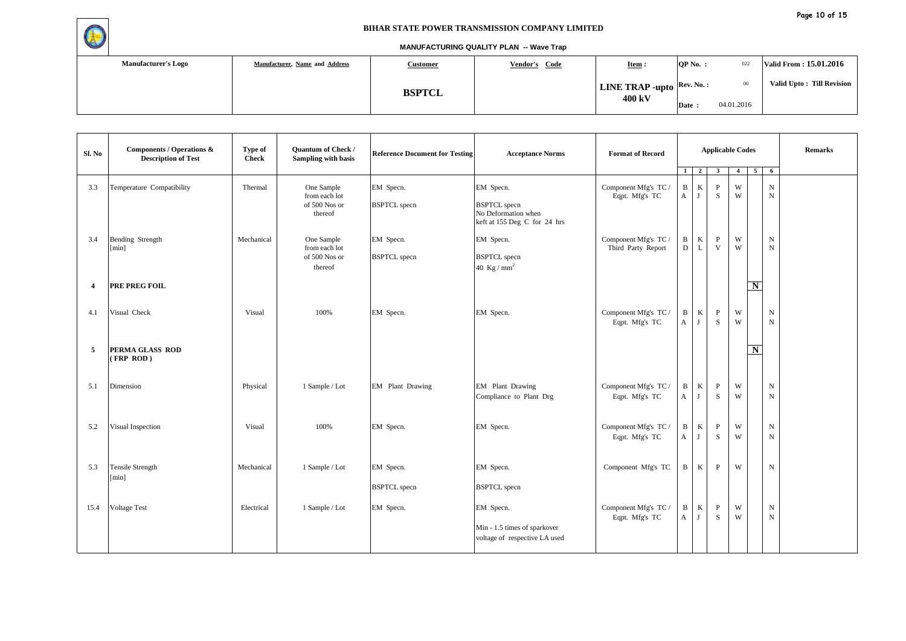

| <b>Manufacturer's Logo</b> | Manufacturer, Name and Address | <u>Customer</u> | Vendor's Code | $OP No.$ :<br>$Item :$                                                     | Valid From: 15.01.2016 |            |                           |
|----------------------------|--------------------------------|-----------------|---------------|----------------------------------------------------------------------------|------------------------|------------|---------------------------|
|                            |                                | <b>BSPTCL</b>   |               | <b>LINE TRAP -upto</b> $\begin{bmatrix} \text{Rev. No.}: \\ \end{bmatrix}$ |                        | $00\,$     | Valid Upto: Till Revision |
|                            |                                |                 |               | 400 kV                                                                     | Date:                  | 04.01.2016 |                           |

| Sl. No                  | Components / Operations &<br><b>Description of Test</b> | Type of<br><b>Check</b> | <b>Quantum of Check /</b><br>Sampling with basis        | <b>Reference Document for Testing</b> | <b>Acceptance Norms</b>                                                                 | <b>Format of Record</b>                    |                      | <b>Applicable Codes</b><br>$\overline{2}$<br>$\mathbf{3}$<br>5 <sub>5</sub><br>1<br>$\overline{4}$ |                   |        |                    | -6                       | <b>Remarks</b> |
|-------------------------|---------------------------------------------------------|-------------------------|---------------------------------------------------------|---------------------------------------|-----------------------------------------------------------------------------------------|--------------------------------------------|----------------------|----------------------------------------------------------------------------------------------------|-------------------|--------|--------------------|--------------------------|----------------|
| 3.3                     | Temperature Compatibility                               | Thermal                 | One Sample<br>from each lot<br>of 500 Nos or<br>thereof | EM Specn.<br><b>BSPTCL</b> specn      | EM Specn.<br><b>BSPTCL</b> specn<br>No Deformation when<br>keft at 155 Deg C for 24 hrs | Component Mfg's TC /<br>Eqpt. Mfg's TC     | $\, {\bf B} \,$<br>A | $\rm K$<br>J                                                                                       | $\mathbf{P}$<br>S | W<br>W |                    | ${\bf N}$<br>$\mathbf N$ |                |
| 3.4                     | Bending Strength<br>[min]                               | Mechanical              | One Sample<br>from each lot<br>of 500 Nos or<br>thereof | EM Specn.<br><b>BSPTCL</b> specn      | EM Specn.<br><b>BSPTCL</b> specn<br>40 Kg / $mm2$                                       | Component Mfg's TC /<br>Third Party Report | $\mathbf{B}$<br>D    | $\rm K$<br>$\mathbf{L}$                                                                            | $\, {\bf P}$<br>V | W<br>W |                    | ${\bf N}$<br>${\bf N}$   |                |
| $\overline{\mathbf{4}}$ | PRE PREG FOIL                                           |                         |                                                         |                                       |                                                                                         |                                            |                      |                                                                                                    |                   |        | $\overline{\bf N}$ |                          |                |
| 4.1                     | Visual Check                                            | Visual                  | 100%                                                    | EM Specn.                             | EM Specn.                                                                               | Component Mfg's TC /<br>Eqpt. Mfg's TC     | $\mathbf{B}$<br>A    | K<br>J                                                                                             | $\, {\bf P}$<br>S | W<br>W |                    | ${\bf N}$<br>$\mathbf N$ |                |
| 5                       | PERMA GLASS ROD<br>(FRP ROD)                            |                         |                                                         |                                       |                                                                                         |                                            |                      |                                                                                                    |                   |        | N                  |                          |                |
| 5.1                     | Dimension                                               | Physical                | 1 Sample / Lot                                          | EM Plant Drawing                      | EM Plant Drawing<br>Compliance to Plant Drg                                             | Component Mfg's TC /<br>Eqpt. Mfg's TC     | $\mathbf{B}$<br>A    | K<br>J                                                                                             | $\mathbf{P}$<br>S | W<br>W |                    | $\mathbf N$<br>${\bf N}$ |                |
| 5.2                     | Visual Inspection                                       | Visual                  | 100%                                                    | EM Specn.                             | EM Specn.                                                                               | Component Mfg's TC /<br>Eqpt. Mfg's TC     | $\mathbf{B}$<br>A    | $\rm K$<br>J                                                                                       | $\, {\bf p}$<br>S | W<br>W |                    | ${\bf N}$<br>${\bf N}$   |                |
| 5.3                     | <b>Tensile Strength</b><br>[min]                        | Mechanical              | 1 Sample / Lot                                          | EM Specn.<br><b>BSPTCL</b> specn      | EM Specn.<br><b>BSPTCL</b> specn                                                        | Component Mfg's TC                         | $\, {\bf B} \,$      | K                                                                                                  | $\mathbf{P}$      | W      |                    | $\mathbf N$              |                |
| 15.4                    | <b>Voltage Test</b>                                     | Electrical              | 1 Sample / Lot                                          | EM Specn.                             | EM Specn.<br>Min - 1.5 times of sparkover<br>voltage of respective LA used              | Component Mfg's TC /<br>Eqpt. Mfg's TC     | $\mathbf{B}$<br>A    | $\rm K$<br>J                                                                                       | $\, {\bf p}$<br>S | W<br>W |                    | ${\bf N}$<br>${\bf N}$   |                |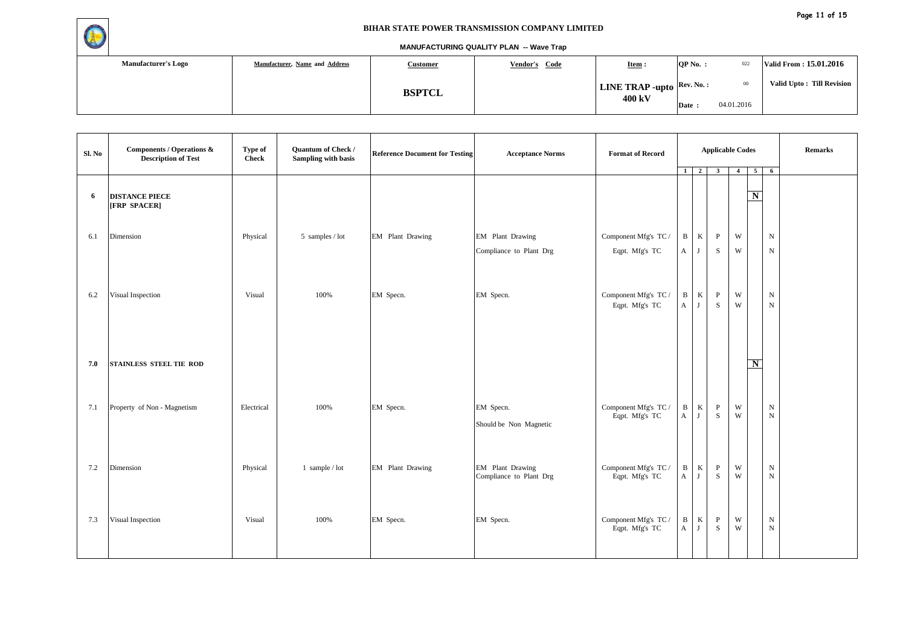

| <b>Manufacturer's Logo</b> | Manufacturer, Name and Address | <u>Customer</u> | Vendor's Code | $Item :$                                                | $OP No.$ : | 022             | Valid From: 15.01.2016     |
|----------------------------|--------------------------------|-----------------|---------------|---------------------------------------------------------|------------|-----------------|----------------------------|
|                            |                                | <b>BSPTCL</b>   |               | <b>LINE TRAP -upto</b> $\left \text{Rev. No.}: \right $ |            | 00 <sup>°</sup> | Valid Upto : Till Revision |
|                            |                                |                 |               | 400 kV                                                  | Date:      | 04.01.2016      |                            |

| Sl. No | <b>Components / Operations &amp;</b><br><b>Description of Test</b> | Type of<br><b>Check</b> | Quantum of Check /<br>Sampling with basis | <b>Reference Document for Testing</b> | <b>Acceptance Norms</b>                     | <b>Format of Record</b>                | $1 \quad 2$       |                         | <b>Applicable Codes</b><br>$\overline{\mathbf{3}}$ | $\overline{4}$               | $\overline{5}$          | $6\overline{6}$        | <b>Remarks</b> |
|--------|--------------------------------------------------------------------|-------------------------|-------------------------------------------|---------------------------------------|---------------------------------------------|----------------------------------------|-------------------|-------------------------|----------------------------------------------------|------------------------------|-------------------------|------------------------|----------------|
| 6      | <b>DISTANCE PIECE</b><br>[FRP SPACER]                              |                         |                                           |                                       |                                             |                                        |                   |                         |                                                    |                              | $\overline{\mathbf{N}}$ |                        |                |
| 6.1    | Dimension                                                          | Physical                | 5 samples / lot                           | EM Plant Drawing                      | EM Plant Drawing<br>Compliance to Plant Drg | Component Mfg's TC /<br>Eqpt. Mfg's TC | B<br>A            | $\rm K$<br>$\mathbf{J}$ | $\mathbf{P}$<br>${\bf S}$                          | W<br>W                       |                         | ${\bf N}$<br>${\bf N}$ |                |
| 6.2    | Visual Inspection                                                  | Visual                  | 100%                                      | EM Specn.                             | EM Specn.                                   | Component Mfg's TC /<br>Eqpt. Mfg's TC | $\, {\bf B}$<br>A | $\bf K$<br>J            | $\, {\bf P}$<br>${\bf S}$                          | $\ensuremath{\text{W}}$<br>W |                         | ${\bf N}$<br>${\bf N}$ |                |
| 7.0    | STAINLESS STEEL TIE ROD                                            |                         |                                           |                                       |                                             |                                        |                   |                         |                                                    |                              | $\mathbf N$             |                        |                |
| 7.1    | Property of Non - Magnetism                                        | Electrical              | 100%                                      | EM Specn.                             | EM Specn.<br>Should be Non Magnetic         | Component Mfg's TC /<br>Eqpt. Mfg's TC | $\, {\bf B}$<br>A | $\bf K$<br>J            | $\mathbf{P}$<br>S                                  | $\mathbf W$<br>W             |                         | ${\bf N}$<br>${\bf N}$ |                |
| 7.2    | Dimension                                                          | Physical                | 1 sample / $lot$                          | EM Plant Drawing                      | EM Plant Drawing<br>Compliance to Plant Drg | Component Mfg's TC /<br>Eqpt. Mfg's TC | $\, {\bf B}$<br>A | K<br>J                  | $\mathbf{P}$<br>${\bf S}$                          | $\ensuremath{\text{W}}$<br>W |                         | ${\bf N}$<br>${\bf N}$ |                |
| 7.3    | Visual Inspection                                                  | Visual                  | 100%                                      | EM Specn.                             | EM Specn.                                   | Component Mfg's TC /<br>Eqpt. Mfg's TC | $\, {\bf B}$<br>A | $\bf K$<br>J            | $\, {\bf P}$<br>S                                  | W<br>W                       |                         | ${\bf N}$<br>${\bf N}$ |                |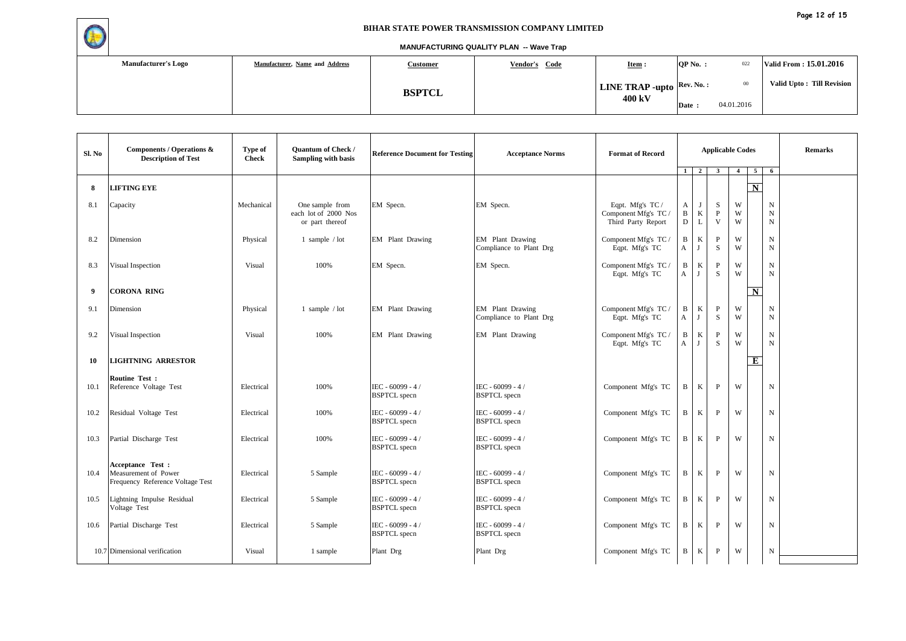

| <b>Manufacturer's Logo</b> | Manufacturer, Name and Address | <b>Customer</b> | Vendor's Code | $Item :$                                                | QP No. : | 022        | Valid From: 15.01.2016    |
|----------------------------|--------------------------------|-----------------|---------------|---------------------------------------------------------|----------|------------|---------------------------|
|                            |                                | <b>BSPTCL</b>   |               | <b>LINE TRAP -upto</b> $\left \text{Rev. No. :}\right $ |          | $00\,$     | Valid Upto: Till Revision |
|                            |                                |                 |               | 400 kV                                                  | Date:    | 04.01.2016 |                           |

| Sl. No | Components / Operations &<br><b>Description of Test</b>                       | Type of<br><b>Check</b> | <b>Quantum of Check /</b><br><b>Sampling with basis</b>    | <b>Reference Document for Testing</b>     | <b>Acceptance Norms</b>                     | <b>Format of Record</b>                                        | $1 \quad$              | $\overline{2}$              | $\mathbf{3}$                      | <b>Applicable Codes</b><br>$\overline{4}$ | $\overline{5}$          | 6                               | <b>Remarks</b> |
|--------|-------------------------------------------------------------------------------|-------------------------|------------------------------------------------------------|-------------------------------------------|---------------------------------------------|----------------------------------------------------------------|------------------------|-----------------------------|-----------------------------------|-------------------------------------------|-------------------------|---------------------------------|----------------|
| 8      | <b>LIFTING EYE</b>                                                            |                         |                                                            |                                           |                                             |                                                                |                        |                             |                                   |                                           | $\overline{\mathbf{N}}$ |                                 |                |
| 8.1    | Capacity                                                                      | Mechanical              | One sample from<br>each lot of 2000 Nos<br>or part thereof | EM Specn.                                 | EM Specn.                                   | Eqpt. Mfg's TC /<br>Component Mfg's TC /<br>Third Party Report | A<br>$\, {\bf B}$<br>D | J<br>$\rm K$<br>$\mathbf L$ | S<br>$\mathbf{P}$<br>$\mathbf{V}$ | W<br>W<br>W                               |                         | N<br>$\mathbf N$<br>$\mathbf N$ |                |
| 8.2    | Dimension                                                                     | Physical                | 1 sample $/$ lot                                           | <b>EM</b> Plant Drawing                   | EM Plant Drawing<br>Compliance to Plant Drg | Component Mfg's TC /<br>Eqpt. Mfg's TC                         | B<br>A                 | K<br>J                      | $\mathbf{P}$<br>S                 | W<br>W                                    |                         | $\mathbf N$<br>$\mathbf N$      |                |
| 8.3    | Visual Inspection                                                             | Visual                  | 100%                                                       | EM Specn.                                 | EM Specn.                                   | Component Mfg's TC /<br>Eqpt. Mfg's TC                         | B<br>A                 | K<br>J                      | $\mathbf{P}$<br>S                 | W<br>W                                    |                         | $\mathbf N$<br>$\mathbf N$      |                |
| -9     | <b>CORONA RING</b>                                                            |                         |                                                            |                                           |                                             |                                                                |                        |                             |                                   |                                           | $\overline{\mathbf{N}}$ |                                 |                |
| 9.1    | Dimension                                                                     | Physical                | 1 sample $/$ lot                                           | EM Plant Drawing                          | EM Plant Drawing<br>Compliance to Plant Drg | Component Mfg's TC /<br>Eqpt. Mfg's TC                         | B<br>$\mathbf A$       | $\bf K$<br>J                | $\, {\bf P}$<br>S                 | W<br>W                                    |                         | $\mathbf N$<br>$\mathbf N$      |                |
| 9.2    | Visual Inspection                                                             | Visual                  | 100%                                                       | EM Plant Drawing                          | EM Plant Drawing                            | Component Mfg's TC /<br>Eqpt. Mfg's TC                         | B<br>A                 | K<br>J                      | $\mathbf{P}$<br>S                 | W<br>W                                    |                         | ${\rm N}$<br>$\mathbf N$        |                |
| 10     | <b>LIGHTNING ARRESTOR</b>                                                     |                         |                                                            |                                           |                                             |                                                                |                        |                             |                                   |                                           | Е                       |                                 |                |
| 10.1   | Routine Test:<br>Reference Voltage Test                                       | Electrical              | 100%                                                       | IEC - 60099 - 4 /<br><b>BSPTCL</b> specn  | IEC - 60099 - 4 /<br><b>BSPTCL</b> specn    | Component Mfg's TC                                             | B                      | K                           | P                                 | W                                         |                         | $\mathbf N$                     |                |
| 10.2   | Residual Voltage Test                                                         | Electrical              | 100%                                                       | IEC - $60099 - 4/$<br><b>BSPTCL</b> specn | IEC - 60099 - 4 /<br><b>BSPTCL</b> specn    | Component Mfg's TC                                             | B                      | K                           | $\mathbf{P}$                      | W                                         |                         | N                               |                |
| 10.3   | Partial Discharge Test                                                        | Electrical              | 100%                                                       | IEC - 60099 - 4 /<br><b>BSPTCL</b> specn  | $IEC - 60099 - 4/$<br><b>BSPTCL</b> specn   | Component Mfg's TC                                             | B                      | K                           | $\mathbf{P}$                      | W                                         |                         | $\mathbf N$                     |                |
| 10.4   | Acceptance Test :<br>Measurement of Power<br>Frequency Reference Voltage Test | Electrical              | 5 Sample                                                   | IEC - 60099 - 4 /<br><b>BSPTCL</b> specn  | IEC - 60099 - 4 /<br><b>BSPTCL</b> specn    | Component Mfg's TC                                             | B                      | K                           | P                                 | W                                         |                         | N                               |                |
| 10.5   | Lightning Impulse Residual<br>Voltage Test                                    | Electrical              | 5 Sample                                                   | IEC - 60099 - 4 /<br><b>BSPTCL</b> specn  | IEC - 60099 - 4 /<br><b>BSPTCL</b> specn    | Component Mfg's TC                                             | B                      | K                           | P                                 | W                                         |                         | N                               |                |
| 10.6   | Partial Discharge Test                                                        | Electrical              | 5 Sample                                                   | IEC - 60099 - 4 /<br><b>BSPTCL</b> specn  | IEC - 60099 - 4 /<br><b>BSPTCL</b> specn    | Component Mfg's TC                                             | B                      | $\bf K$                     | $\mathbf{P}$                      | W                                         |                         | N                               |                |
|        | 10.7 Dimensional verification                                                 | Visual                  | 1 sample                                                   | Plant Drg                                 | Plant Drg                                   | Component Mfg's TC                                             | B                      | K                           | $\mathbf{P}$                      | W                                         |                         | $_{\rm N}$                      |                |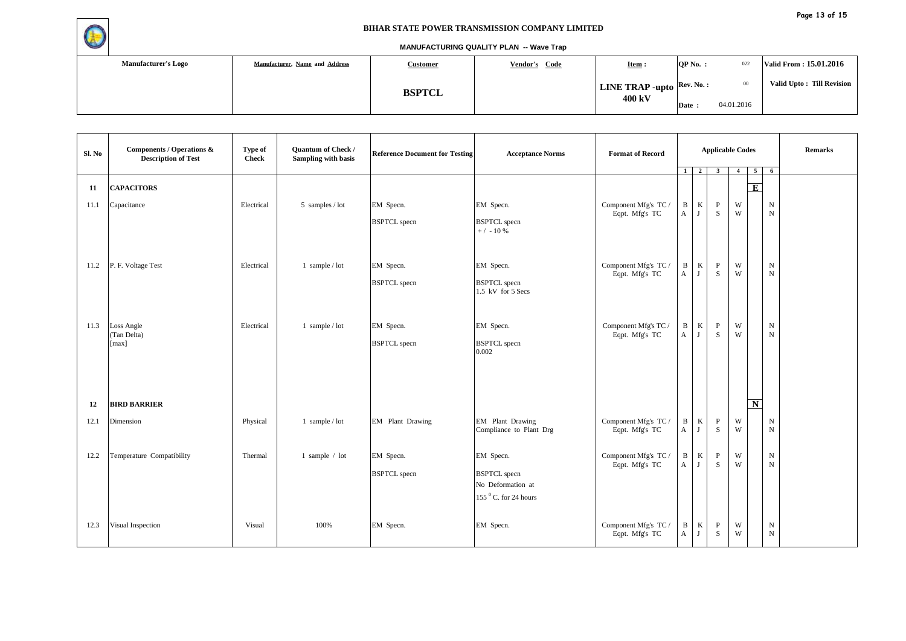

| <b>Manufacturer's Logo</b> | Manufacturer, Name and Address | <u>Customer</u> | Vendor's Code | $Item :$                                                | QP No. : | 022        | Valid From: 15.01.2016    |
|----------------------------|--------------------------------|-----------------|---------------|---------------------------------------------------------|----------|------------|---------------------------|
|                            |                                | <b>BSPTCL</b>   |               | <b>LINE TRAP -upto</b> $\left \text{Rev. No. :}\right $ |          | $^{00}$    | Valid Upto: Till Revision |
|                            |                                |                 |               | 400 kV                                                  | Date:    | 04.01.2016 |                           |

| Sl. No     | Components / Operations &<br><b>Description of Test</b> | Type of<br><b>Check</b> | Quantum of Check /<br>Sampling with basis | <b>Reference Document for Testing</b> | <b>Acceptance Norms</b>                                                                     | <b>Format of Record</b>                |                   | $1 \mid 2 \mid$ | <b>Applicable Codes</b><br>$\overline{\mathbf{3}}$ | $\overline{4}$               | $\overline{5}$ | $6\overline{6}$            | Remarks |
|------------|---------------------------------------------------------|-------------------------|-------------------------------------------|---------------------------------------|---------------------------------------------------------------------------------------------|----------------------------------------|-------------------|-----------------|----------------------------------------------------|------------------------------|----------------|----------------------------|---------|
| 11<br>11.1 | <b>CAPACITORS</b><br>Capacitance                        | Electrical              | 5 samples / lot                           | EM Specn.                             | EM Specn.                                                                                   | Component Mfg's TC /                   | $\mathbf B$       | $\rm K$         | $\mathbf{P}$                                       | W                            | E              | ${\rm N}$                  |         |
|            |                                                         |                         |                                           | <b>BSPTCL</b> specn                   | <b>BSPTCL</b> specn<br>$+ / -10%$                                                           | Eqpt. Mfg's TC                         | A                 | J               | S                                                  | W                            |                | $\mathbf N$                |         |
| 11.2       | P. F. Voltage Test                                      | Electrical              | 1 sample / lot                            | EM Specn.<br><b>BSPTCL</b> specn      | EM Specn.<br><b>BSPTCL</b> specn<br>1.5 kV for 5 Secs                                       | Component Mfg's TC /<br>Eqpt. Mfg's TC | B<br>A            | $\rm K$<br>J    | $\, {\bf P}$<br>S                                  | $\ensuremath{\text{W}}$<br>W |                | ${\bf N}$<br>$\mathbf N$   |         |
| 11.3       | Loss Angle<br>(Tan Delta)<br>$\lceil \max \rceil$       | Electrical              | 1 sample / lot                            | EM Specn.<br><b>BSPTCL</b> specn      | EM Specn.<br><b>BSPTCL</b> specn<br>0.002                                                   | Component Mfg's TC /<br>Eqpt. Mfg's TC | B<br>A            | K<br>J          | $\, {\bf P}$<br>S                                  | W<br>W                       |                | $\mathbf N$<br>$\mathbf N$ |         |
| 12         | <b>BIRD BARRIER</b>                                     |                         |                                           |                                       |                                                                                             |                                        |                   |                 |                                                    |                              | $\mathbf N$    |                            |         |
| 12.1       | Dimension                                               | Physical                | 1 sample / lot                            | EM Plant Drawing                      | EM Plant Drawing<br>Compliance to Plant Drg                                                 | Component Mfg's TC /<br>Eqpt. Mfg's TC | $\mathbf{B}$<br>A | $\bf K$<br>J    | $\, {\bf P}$<br>S                                  | W<br>W                       |                | ${\bf N}$<br>$\mathbf N$   |         |
| 12.2       | Temperature Compatibility                               | Thermal                 | 1 sample / lot                            | EM Specn.<br><b>BSPTCL</b> specn      | EM Specn.<br><b>BSPTCL</b> specn<br>No Deformation at<br>$155$ <sup>0</sup> C. for 24 hours | Component Mfg's TC /<br>Eqpt. Mfg's TC | B<br>$\mathbf{A}$ | $\bf K$<br>J    | $\mathbf{P}$<br>S                                  | $\ensuremath{\text{W}}$<br>W |                | ${\bf N}$<br>${\rm N}$     |         |
| 12.3       | Visual Inspection                                       | Visual                  | 100%                                      | EM Specn.                             | EM Specn.                                                                                   | Component Mfg's TC /<br>Eqpt. Mfg's TC | $\mathbf{B}$<br>A | K<br>J          | $\mathbf{P}$<br>S                                  | W<br>W                       |                | $\mathbf N$<br>${\rm N}$   |         |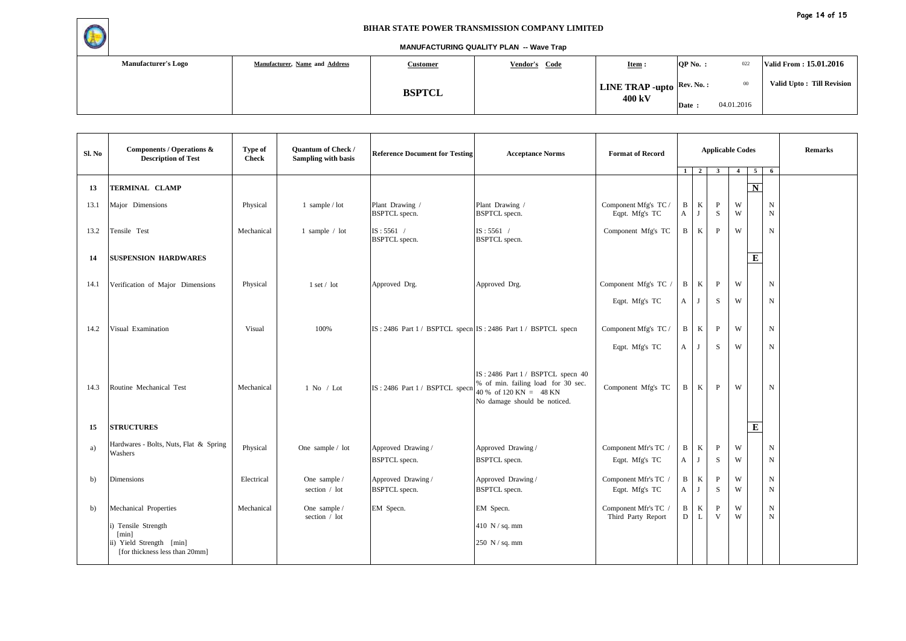

| <b>Manufacturer's Logo</b> | Manufacturer, Name and Address | <b>Customer</b> | Vendor's Code | $Item :$                                                | QP No. : | 022        | Valid From: 15.01.2016    |
|----------------------------|--------------------------------|-----------------|---------------|---------------------------------------------------------|----------|------------|---------------------------|
|                            |                                | <b>BSPTCL</b>   |               | <b>LINE TRAP -upto</b> $\left \text{Rev. No. :}\right $ |          | $00\,$     | Valid Upto: Till Revision |
|                            |                                |                 |               | 400 kV                                                  | Date:    | 04.01.2016 |                           |

| Sl. No       | <b>Components / Operations &amp;</b><br><b>Description of Test</b>                                                  | Type of<br><b>Check</b> | <b>Quantum of Check /</b><br><b>Sampling with basis</b> | <b>Reference Document for Testing</b>      | <b>Acceptance Norms</b>                                                                                                             | <b>Format of Record</b>                    | 1                 | 2 <sup>1</sup>   | <b>Applicable Codes</b><br>$\overline{\mathbf{3}}$ | $\overline{4}$ | 5 <sup>5</sup>     | 6                          | <b>Remarks</b> |
|--------------|---------------------------------------------------------------------------------------------------------------------|-------------------------|---------------------------------------------------------|--------------------------------------------|-------------------------------------------------------------------------------------------------------------------------------------|--------------------------------------------|-------------------|------------------|----------------------------------------------------|----------------|--------------------|----------------------------|----------------|
| 13           | TERMINAL CLAMP                                                                                                      |                         |                                                         |                                            |                                                                                                                                     |                                            |                   |                  |                                                    |                | $\overline{\bf N}$ |                            |                |
| 13.1         | Major Dimensions                                                                                                    | Physical                | 1 sample $/$ lot                                        | Plant Drawing /<br><b>BSPTCL</b> specn.    | Plant Drawing /<br><b>BSPTCL</b> specn.                                                                                             | Component Mfg's TC /<br>Eqpt. Mfg's TC     | B<br>$\mathbf{A}$ | $\rm K$<br>J     | $\, {\bf P}$<br>S                                  | W<br>W         |                    | $\mathbf N$<br>$\mathbf N$ |                |
| 13.2         | Tensile Test                                                                                                        | Mechanical              | 1 sample $/$ lot                                        | $IS: 5561$ /<br><b>BSPTCL</b> specn.       | $IS: 5561$ /<br><b>BSPTCL</b> specn.                                                                                                | Component Mfg's TC                         | B                 | $\mathbf K$      | P                                                  | W              |                    | $\mathbf N$                |                |
| 14           | <b>SUSPENSION HARDWARES</b>                                                                                         |                         |                                                         |                                            |                                                                                                                                     |                                            |                   |                  |                                                    |                | $\overline{E}$     |                            |                |
| 14.1         | Verification of Major Dimensions                                                                                    | Physical                | 1 set / lot                                             | Approved Drg.                              | Approved Drg.                                                                                                                       | Component Mfg's TC /                       | B                 | $\mathbf{K}$     | $\, {\bf P}$                                       | W              |                    | $\mathbf N$                |                |
|              |                                                                                                                     |                         |                                                         |                                            |                                                                                                                                     | Eqpt. Mfg's TC                             | A                 | J                | S                                                  | W              |                    | $\mathbf N$                |                |
| 14.2         | Visual Examination                                                                                                  | Visual                  | 100%                                                    |                                            | IS: 2486 Part 1 / BSPTCL specn IS: 2486 Part 1 / BSPTCL specn                                                                       | Component Mfg's TC /                       | B                 | $\bf K$          | P                                                  | W              |                    | $\mathbf N$                |                |
|              |                                                                                                                     |                         |                                                         |                                            |                                                                                                                                     | Eqpt. Mfg's TC                             | A                 | J                | S                                                  | W              |                    | $\mathbf N$                |                |
| 14.3         | Routine Mechanical Test                                                                                             | Mechanical              | $1$ No / Lot                                            | IS: 2486 Part 1 / BSPTCL specn             | IS: 2486 Part 1 / BSPTCL specn 40<br>% of min. failing load for 30 sec.<br>$40\%$ of 120 KN = 48 KN<br>No damage should be noticed. | Component Mfg's TC                         | B                 | K                | P                                                  | W              |                    | $\mathbf N$                |                |
| 15           | <b>STRUCTURES</b>                                                                                                   |                         |                                                         |                                            |                                                                                                                                     |                                            |                   |                  |                                                    |                | ${\bf E}$          |                            |                |
| a)           | Hardwares - Bolts, Nuts, Flat & Spring<br>Washers                                                                   | Physical                | One sample / lot                                        | Approved Drawing/<br><b>BSPTCL</b> specn.  | Approved Drawing /<br><b>BSPTCL</b> specn.                                                                                          | Component Mfr's TC /<br>Eqpt. Mfg's TC     | B<br>A            | $\mathbf K$<br>J | $\, {\bf p}$<br>S                                  | W<br>W         |                    | $\mathbf N$<br>$_{\rm N}$  |                |
| b)           | <b>Dimensions</b>                                                                                                   | Electrical              | One sample /<br>section / lot                           | Approved Drawing /<br><b>BSPTCL</b> specn. | Approved Drawing /<br><b>BSPTCL</b> specn.                                                                                          | Component Mfr's TC /<br>Eqpt. Mfg's TC     | B<br>A            | $\rm K$<br>J     | $\mathbf{P}$<br>S                                  | W<br>W         |                    | $\mathbf N$<br>$\mathbf N$ |                |
| $\mathbf{b}$ | Mechanical Properties<br>i) Tensile Strength<br>[min]<br>ii) Yield Strength [min]<br>[for thickness less than 20mm] | Mechanical              | One sample /<br>section / lot                           | EM Specn.                                  | EM Specn.<br>410 $N / sq.$ mm<br>250 N / sq. mm                                                                                     | Component Mfr's TC /<br>Third Party Report | B<br>D            | $\rm K$<br>L     | $\mathbf{P}$<br>V                                  | W<br>W         |                    | N<br>$\mathbf N$           |                |
|              |                                                                                                                     |                         |                                                         |                                            |                                                                                                                                     |                                            |                   |                  |                                                    |                |                    |                            |                |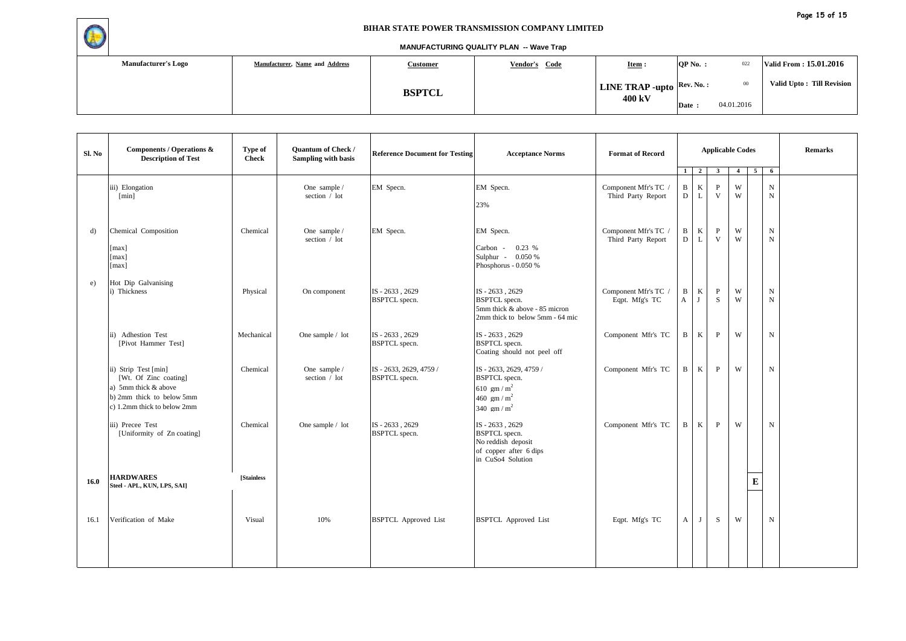

| <b>Manufacturer's Logo</b> | Manufacturer, Name and Address | <b>Customer</b> | Vendor's Code | Item:                                                   | QP No.: | 022        | Valid From: 15.01.2016     |
|----------------------------|--------------------------------|-----------------|---------------|---------------------------------------------------------|---------|------------|----------------------------|
|                            |                                | <b>BSPTCL</b>   |               | <b>LINE TRAP -upto</b> $\left \text{Rev. No. :}\right $ |         | $00\,$     | Valid Upto : Till Revision |
|                            |                                |                 |               | 400 kV                                                  | Date:   | 04.01.2016 |                            |

| Sl. No       | Components / Operations &<br><b>Description of Test</b>                                                                           | Type of<br><b>Check</b> | <b>Quantum of Check /</b><br>Sampling with basis | <b>Reference Document for Testing</b>        | <b>Acceptance Norms</b>                                                                                     | <b>Format of Record</b>                    |                   |                | <b>Applicable Codes</b> |                |           |                            | <b>Remarks</b> |
|--------------|-----------------------------------------------------------------------------------------------------------------------------------|-------------------------|--------------------------------------------------|----------------------------------------------|-------------------------------------------------------------------------------------------------------------|--------------------------------------------|-------------------|----------------|-------------------------|----------------|-----------|----------------------------|----------------|
|              |                                                                                                                                   |                         |                                                  |                                              |                                                                                                             |                                            | 1 <sup>1</sup>    | $\overline{2}$ | $\overline{\mathbf{3}}$ | $\overline{4}$ | 5         | 6                          |                |
|              | iii) Elongation<br>[min]                                                                                                          |                         | One sample /<br>section / lot                    | EM Specn.                                    | EM Specn.<br>23%                                                                                            | Component Mfr's TC /<br>Third Party Report | B<br>D            | $\bf K$<br>L   | $\mathbf{P}$<br>V       | W<br>W         |           | $\mathbf N$<br>$_{\rm N}$  |                |
| d)           | Chemical Composition<br>[max]<br>[max]<br>[max]                                                                                   | Chemical                | One sample /<br>section / lot                    | EM Specn.                                    | EM Specn.<br>0.23%<br>Carbon -<br>Sulphur - 0.050 %<br>Phosphorus - 0.050 %                                 | Component Mfr's TC /<br>Third Party Report | B<br>D            | $\,$ K<br>L    | P<br>V                  | W<br>W         |           | $\mathbf N$<br>$\mathbf N$ |                |
| $\epsilon$ ) | Hot Dip Galvanising<br>i) Thickness                                                                                               | Physical                | On component                                     | IS - 2633, 2629<br><b>BSPTCL</b> specn.      | IS - 2633, 2629<br><b>BSPTCL</b> specn.<br>5mm thick & above - 85 micron<br>2mm thick to below 5mm - 64 mic | Component Mfr's TC /<br>Eqpt. Mfg's TC     | B<br>$\mathbf{A}$ | $\bf K$<br>J   | P<br>S                  | W<br>W         |           | $_{\rm N}$<br>$\mathbf N$  |                |
|              | ii) Adhestion Test<br>[Pivot Hammer Test]                                                                                         | Mechanical              | One sample / lot                                 | IS-2633, 2629<br><b>BSPTCL</b> specn.        | IS-2633, 2629<br><b>BSPTCL</b> specn.<br>Coating should not peel off                                        | Component Mfr's TC                         | B                 | K              | $\mathbf{P}$            | W              |           | N                          |                |
|              | ii) Strip Test [min]<br>[Wt. Of Zinc coating]<br>a) 5mm thick & above<br>b) 2mm thick to below 5mm<br>c) 1.2mm thick to below 2mm | Chemical                | One sample /<br>section / lot                    | IS-2633, 2629, 4759/<br><b>BSPTCL</b> specn. | IS - 2633, 2629, 4759 /<br><b>BSPTCL</b> specn.<br>610 gm / $m^2$<br>460 gm / $m^2$<br>340 gm / $m^2$       | Component Mfr's TC                         | B                 | $\mathbf{K}$   | $\mathbf{P}$            | W              |           | $\mathbf N$                |                |
|              | iii) Precee Test<br>[Uniformity of Zn coating]                                                                                    | Chemical                | One sample / lot                                 | IS - 2633, 2629<br><b>BSPTCL</b> specn.      | IS-2633, 2629<br><b>BSPTCL</b> specn.<br>No reddish deposit<br>of copper after 6 dips<br>in CuSo4 Solution  | Component Mfr's TC                         | $\mathbf{B}$      | K              | $\, {\bf P}$            | W              |           | $\mathbf N$                |                |
| 16.0         | <b>HARDWARES</b><br>Steel - APL, KUN, LPS, SAI]                                                                                   | <b>Stainless</b>        |                                                  |                                              |                                                                                                             |                                            |                   |                |                         |                | ${\bf E}$ |                            |                |
| 16.1         | Verification of Make                                                                                                              | Visual                  | 10%                                              | <b>BSPTCL</b> Approved List                  | <b>BSPTCL</b> Approved List                                                                                 | Eqpt. Mfg's TC                             | $\mathbf{A}$      | J              | S                       | W              |           | $\mathbf N$                |                |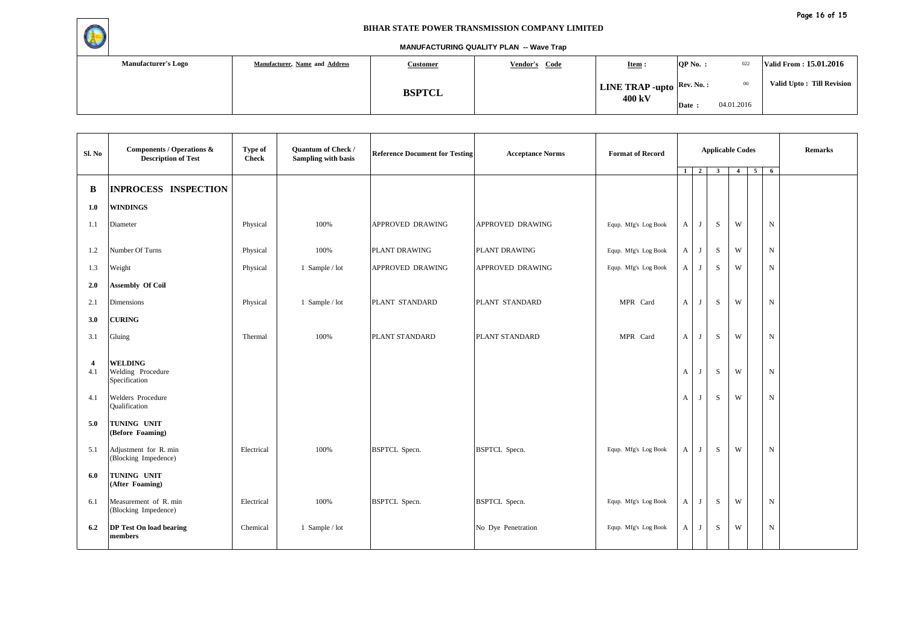

| <b>Manufacturer's Logo</b> | Manufacturer, Name and Address | <b>Customer</b> | Vendor's Code | $Item :$                                                | $QP$ No. : | 022        | Valid From: 15.01.2016    |
|----------------------------|--------------------------------|-----------------|---------------|---------------------------------------------------------|------------|------------|---------------------------|
|                            |                                | <b>BSPTCL</b>   |               | <b>LINE TRAP -upto</b> $\left \text{Rev. No.}: \right $ |            | $_{00}$    | Valid Upto: Till Revision |
|                            |                                |                 |               | 400 kV                                                  | Date:      | 04.01.2016 |                           |

| Sl. No                | <b>Components / Operations &amp;</b><br><b>Description of Test</b> | Type of<br><b>Check</b> | Quantum of Check /<br><b>Sampling with basis</b> | <b>Reference Document for Testing</b> | <b>Acceptance Norms</b> | <b>Format of Record</b> | $1 \quad 2$      |              | <b>Applicable Codes</b><br>$\mathbf{3}$ | $\overline{4}$ | $\overline{5}$<br>$6\overline{6}$ | <b>Remarks</b> |
|-----------------------|--------------------------------------------------------------------|-------------------------|--------------------------------------------------|---------------------------------------|-------------------------|-------------------------|------------------|--------------|-----------------------------------------|----------------|-----------------------------------|----------------|
| B                     | <b>INPROCESS INSPECTION</b>                                        |                         |                                                  |                                       |                         |                         |                  |              |                                         |                |                                   |                |
| 1.0                   | <b>WINDINGS</b>                                                    |                         |                                                  |                                       |                         |                         |                  |              |                                         |                |                                   |                |
| 1.1                   | Diameter                                                           | Physical                | 100%                                             | APPROVED DRAWING                      | APPROVED DRAWING        | Equp. Mfg's Log Book    | A                | J            | S                                       | W              | $\mathbf N$                       |                |
| 1.2                   | Number Of Turns                                                    | Physical                | 100%                                             | PLANT DRAWING                         | PLANT DRAWING           | Equp. Mfg's Log Book    | A                | J            | $\,$ S                                  | W              | $_{\rm N}$                        |                |
| 1.3                   | Weight                                                             | Physical                | 1 Sample / lot                                   | APPROVED DRAWING                      | APPROVED DRAWING        | Equp. Mfg's Log Book    | $\mathbf{A}$     | J            | S                                       | W              | ${\bf N}$                         |                |
| 2.0                   | <b>Assembly Of Coil</b>                                            |                         |                                                  |                                       |                         |                         |                  |              |                                         |                |                                   |                |
| 2.1                   | Dimensions                                                         | Physical                | 1 Sample / lot                                   | PLANT STANDARD                        | PLANT STANDARD          | MPR Card                | $\mathbf{A}$     | $\mathbf{J}$ | S                                       | W              | $_{\rm N}$                        |                |
| 3.0                   | <b>CURING</b>                                                      |                         |                                                  |                                       |                         |                         |                  |              |                                         |                |                                   |                |
| 3.1                   | Gluing                                                             | Thermal                 | 100%                                             | PLANT STANDARD                        | PLANT STANDARD          | MPR Card                | $\boldsymbol{A}$ | $\mathbf{J}$ | S                                       | W              | $\mathbf N$                       |                |
| $\overline{4}$<br>4.1 | <b>WELDING</b><br>Welding Procedure<br>Specification               |                         |                                                  |                                       |                         |                         | $\mathbf{A}$     | $\mathbf{J}$ | S                                       | W              | ${\bf N}$                         |                |
| 4.1                   | Welders Procedure<br>Qualification                                 |                         |                                                  |                                       |                         |                         | $\mathbf{A}$     | J            | S                                       | W              | $_{\rm N}$                        |                |
| 5.0                   | TUNING UNIT<br>(Before Foaming)                                    |                         |                                                  |                                       |                         |                         |                  |              |                                         |                |                                   |                |
| 5.1                   | Adjustment for R. min<br>(Blocking Impedence)                      | Electrical              | 100%                                             | <b>BSPTCL</b> Specn.                  | <b>BSPTCL</b> Specn.    | Equp. Mfg's Log Book    | $\mathbf{A}$     | J            | S                                       | W              | ${\rm N}$                         |                |
| 6.0                   | TUNING UNIT<br>(After Foaming)                                     |                         |                                                  |                                       |                         |                         |                  |              |                                         |                |                                   |                |
| 6.1                   | Measurement of R. min<br>(Blocking Impedence)                      | Electrical              | 100%                                             | <b>BSPTCL</b> Specn.                  | <b>BSPTCL</b> Specn.    | Equp. Mfg's Log Book    | A                | J            | S                                       | W              | $_{\rm N}$                        |                |
| 6.2                   | <b>DP</b> Test On load bearing<br>members                          | Chemical                | 1 Sample / lot                                   |                                       | No Dye Penetration      | Equp. Mfg's Log Book    | A                | J            | $\,$ S                                  | W              | ${\rm N}$                         |                |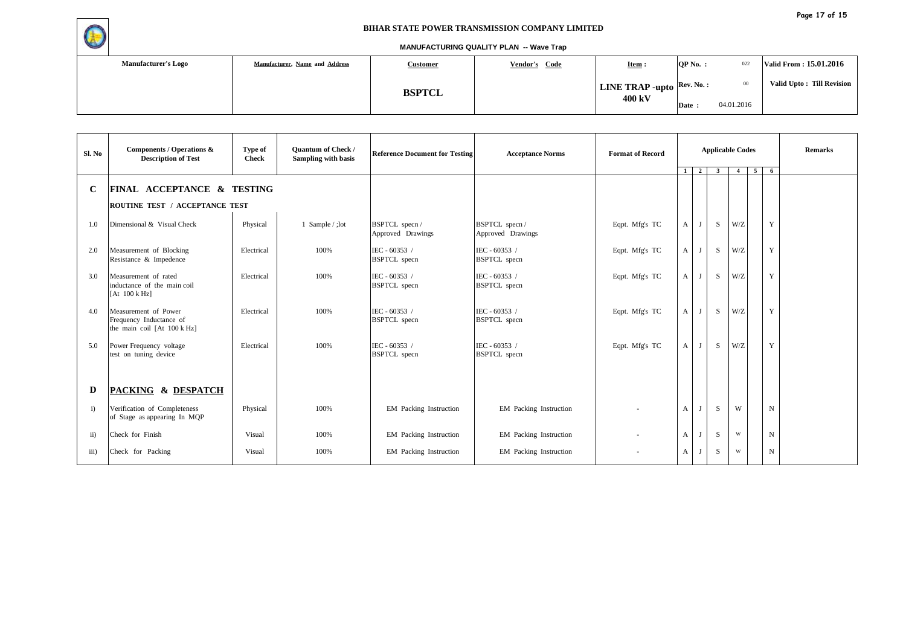

| <b>Manufacturer's Logo</b> | Manufacturer, Name and Address | <u>Customer</u> | Vendor's Code | <b>Item:</b>                                            | $OP No.$ : | 022        | Valid From: 15.01.2016     |
|----------------------------|--------------------------------|-----------------|---------------|---------------------------------------------------------|------------|------------|----------------------------|
|                            |                                | <b>BSPTCL</b>   |               | <b>LINE TRAP -upto</b> $\left \text{Rev. No. :}\right $ |            | $_{00}$    | Valid Upto : Till Revision |
|                            |                                |                 |               | 400 kV                                                  | Date:      | 04.01.2016 |                            |

| Sl. No            | Components / Operations &<br><b>Description of Test</b>                         | Type of<br><b>Check</b> | <b>Quantum of Check /</b><br><b>Sampling with basis</b> | <b>Reference Document for Testing</b> | <b>Acceptance Norms</b>              | <b>Format of Record</b> | <b>Applicable Codes</b> |                |                         |                         |   | <b>Remarks</b> |  |
|-------------------|---------------------------------------------------------------------------------|-------------------------|---------------------------------------------------------|---------------------------------------|--------------------------------------|-------------------------|-------------------------|----------------|-------------------------|-------------------------|---|----------------|--|
|                   |                                                                                 |                         |                                                         |                                       |                                      |                         | $\mathbf{1}$            | $\overline{2}$ | $\overline{\mathbf{3}}$ | $\overline{4}$          | 5 | 6              |  |
| $\mathbf C$       | <b>FINAL ACCEPTANCE &amp; TESTING</b>                                           |                         |                                                         |                                       |                                      |                         |                         |                |                         |                         |   |                |  |
|                   | ROUTINE TEST / ACCEPTANCE TEST                                                  |                         |                                                         |                                       |                                      |                         |                         |                |                         |                         |   |                |  |
| 1.0               | Dimensional & Visual Check                                                      | Physical                | 1 Sample / ;lot                                         | BSPTCL specn /<br>Approved Drawings   | BSPTCL specn /<br>Approved Drawings  | Eqpt. Mfg's TC          | A                       | J              | S                       | W/Z                     |   | Y              |  |
| 2.0               | Measurement of Blocking<br>Resistance & Impedence                               | Electrical              | 100%                                                    | IEC - 60353 /<br><b>BSPTCL</b> specn  | IEC - 60353 /<br><b>BSPTCL</b> specn | Eqpt. Mfg's TC          | $\mathbf{A}$            | J              | S                       | W/Z                     |   | Y              |  |
| 3.0               | Measurement of rated<br>inductance of the main coil<br>[At $100 \text{ k Hz}$ ] | Electrical              | 100%                                                    | IEC - 60353 /<br><b>BSPTCL</b> specn  | IEC - 60353 /<br><b>BSPTCL</b> specn | Eqpt. Mfg's TC          | $\mathbf{A}$            | J              | S                       | W/Z                     |   | Y              |  |
| 4.0               | Measurement of Power<br>Frequency Inductance of<br>the main coil [At 100 k Hz]  | Electrical              | 100%                                                    | IEC - 60353 /<br><b>BSPTCL</b> specn  | IEC - 60353 /<br><b>BSPTCL</b> specn | Eqpt. Mfg's TC          | $\mathbf{A}$            | $\mathbf{J}$   | S                       | W/Z                     |   | Y              |  |
| 5.0               | Power Frequency voltage<br>test on tuning device                                | Electrical              | 100%                                                    | IEC - 60353 /<br><b>BSPTCL</b> specn  | IEC - 60353 /<br><b>BSPTCL</b> specn | Eqpt. Mfg's TC          | A                       | J              | S                       | W/Z                     |   | Y              |  |
| D                 | PACKING & DESPATCH                                                              |                         |                                                         |                                       |                                      |                         |                         |                |                         |                         |   |                |  |
| i)                | Verification of Completeness<br>of Stage as appearing In MQP                    | Physical                | 100%                                                    | EM Packing Instruction                | EM Packing Instruction               | $\sim$                  | $\mathbf{A}$            | J              | S                       | W                       |   | $\mathbf N$    |  |
| $\overline{ii}$ ) | Check for Finish                                                                | Visual                  | 100%                                                    | EM Packing Instruction                | EM Packing Instruction               | $\sim$                  | $\mathbf{A}$            | $\mathbf{J}$   | S                       | $\ensuremath{\text{W}}$ |   | ${\bf N}$      |  |
| iii)              | Check for Packing                                                               | Visual                  | 100%                                                    | EM Packing Instruction                | <b>EM</b> Packing Instruction        |                         | $\mathbf{A}$            |                | S                       | W                       |   | $\mathbf N$    |  |